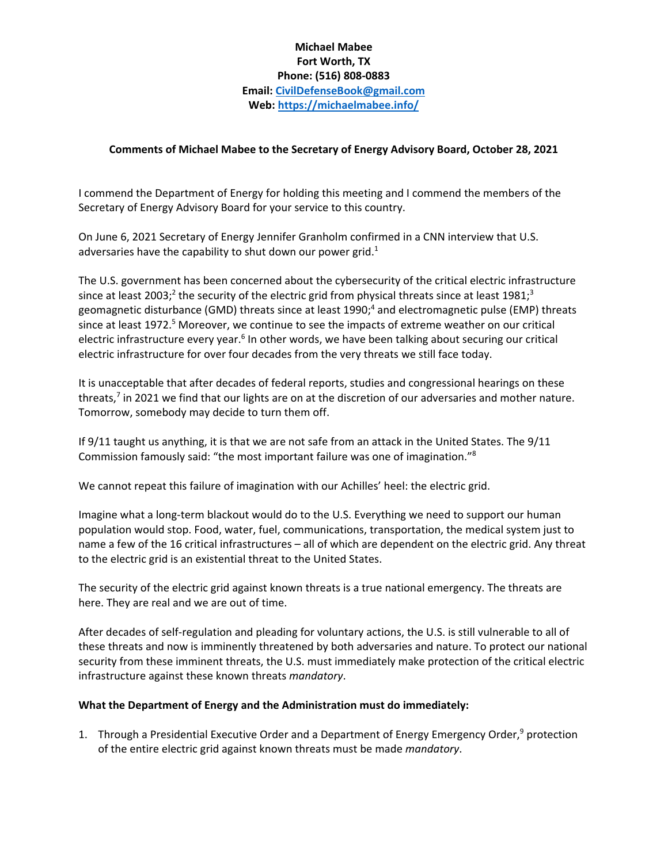# **Michael Mabee Fort Worth, TX Phone: (516) 808‐0883 Email: CivilDefenseBook@gmail.com Web: https://michaelmabee.info/**

## **Comments of Michael Mabee to the Secretary of Energy Advisory Board, October 28, 2021**

I commend the Department of Energy for holding this meeting and I commend the members of the Secretary of Energy Advisory Board for your service to this country.

On June 6, 2021 Secretary of Energy Jennifer Granholm confirmed in a CNN interview that U.S. adversaries have the capability to shut down our power grid.<sup>1</sup>

The U.S. government has been concerned about the cybersecurity of the critical electric infrastructure since at least 2003;<sup>2</sup> the security of the electric grid from physical threats since at least 1981;<sup>3</sup> geomagnetic disturbance (GMD) threats since at least 1990;<sup>4</sup> and electromagnetic pulse (EMP) threats since at least 1972.<sup>5</sup> Moreover, we continue to see the impacts of extreme weather on our critical electric infrastructure every year.<sup>6</sup> In other words, we have been talking about securing our critical electric infrastructure for over four decades from the very threats we still face today.

It is unacceptable that after decades of federal reports, studies and congressional hearings on these threats, $7$  in 2021 we find that our lights are on at the discretion of our adversaries and mother nature. Tomorrow, somebody may decide to turn them off.

If 9/11 taught us anything, it is that we are not safe from an attack in the United States. The 9/11 Commission famously said: "the most important failure was one of imagination."8

We cannot repeat this failure of imagination with our Achilles' heel: the electric grid.

Imagine what a long‐term blackout would do to the U.S. Everything we need to support our human population would stop. Food, water, fuel, communications, transportation, the medical system just to name a few of the 16 critical infrastructures – all of which are dependent on the electric grid. Any threat to the electric grid is an existential threat to the United States.

The security of the electric grid against known threats is a true national emergency. The threats are here. They are real and we are out of time.

After decades of self-regulation and pleading for voluntary actions, the U.S. is still vulnerable to all of these threats and now is imminently threatened by both adversaries and nature. To protect our national security from these imminent threats, the U.S. must immediately make protection of the critical electric infrastructure against these known threats *mandatory*.

## **What the Department of Energy and the Administration must do immediately:**

1. Through a Presidential Executive Order and a Department of Energy Emergency Order,<sup>9</sup> protection of the entire electric grid against known threats must be made *mandatory*.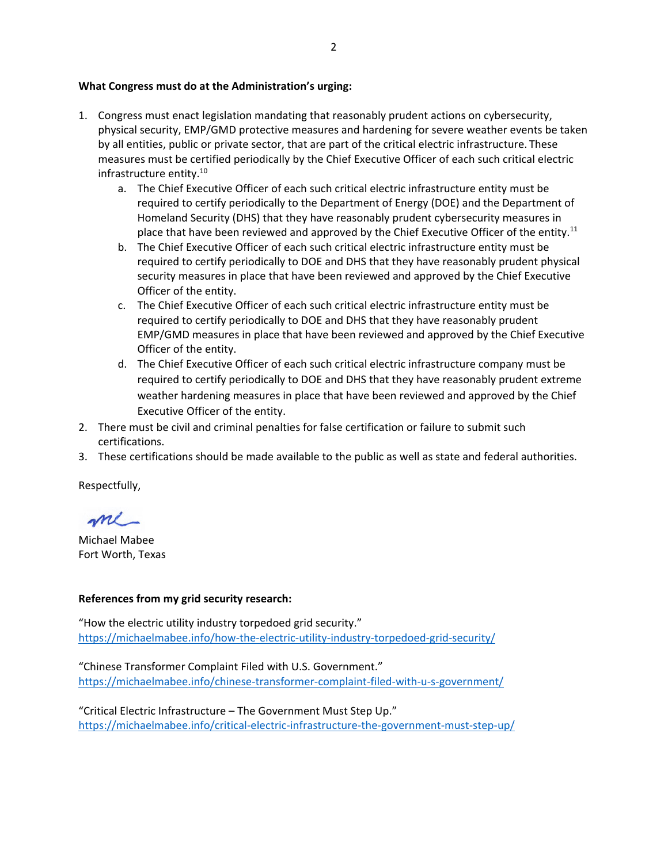#### **What Congress must do at the Administration's urging:**

- 1. Congress must enact legislation mandating that reasonably prudent actions on cybersecurity, physical security, EMP/GMD protective measures and hardening for severe weather events be taken by all entities, public or private sector, that are part of the critical electric infrastructure. These measures must be certified periodically by the Chief Executive Officer of each such critical electric infrastructure entity.<sup>10</sup>
	- a. The Chief Executive Officer of each such critical electric infrastructure entity must be required to certify periodically to the Department of Energy (DOE) and the Department of Homeland Security (DHS) that they have reasonably prudent cybersecurity measures in place that have been reviewed and approved by the Chief Executive Officer of the entity.<sup>11</sup>
	- b. The Chief Executive Officer of each such critical electric infrastructure entity must be required to certify periodically to DOE and DHS that they have reasonably prudent physical security measures in place that have been reviewed and approved by the Chief Executive Officer of the entity.
	- c. The Chief Executive Officer of each such critical electric infrastructure entity must be required to certify periodically to DOE and DHS that they have reasonably prudent EMP/GMD measures in place that have been reviewed and approved by the Chief Executive Officer of the entity.
	- d. The Chief Executive Officer of each such critical electric infrastructure company must be required to certify periodically to DOE and DHS that they have reasonably prudent extreme weather hardening measures in place that have been reviewed and approved by the Chief Executive Officer of the entity.
- 2. There must be civil and criminal penalties for false certification or failure to submit such certifications.
- 3. These certifications should be made available to the public as well as state and federal authorities.

Respectfully,

me-

Michael Mabee Fort Worth, Texas

## **References from my grid security research:**

"How the electric utility industry torpedoed grid security." https://michaelmabee.info/how-the-electric-utility-industry-torpedoed-grid-security/

"Chinese Transformer Complaint Filed with U.S. Government." https://michaelmabee.info/chinese-transformer-complaint-filed-with-u-s-government/

"Critical Electric Infrastructure – The Government Must Step Up." https://michaelmabee.info/critical-electric-infrastructure-the-government-must-step-up/